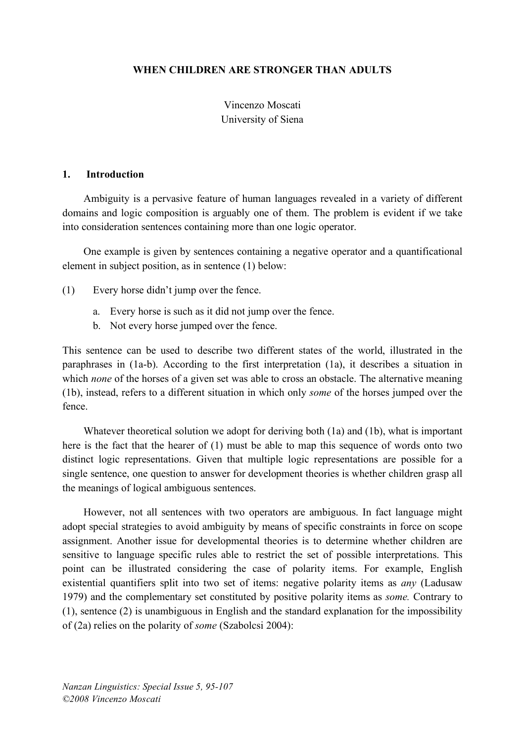### **WHEN CHILDREN ARE STRONGER THAN ADULTS**

## Vincenzo Moscati University of Siena

#### **1. Introduction**

Ambiguity is a pervasive feature of human languages revealed in a variety of different domains and logic composition is arguably one of them. The problem is evident if we take into consideration sentences containing more than one logic operator.

One example is given by sentences containing a negative operator and a quantificational element in subject position, as in sentence (1) below:

(1) Every horse didn't jump over the fence.

- a. Every horse is such as it did not jump over the fence.
- b. Not every horse jumped over the fence.

This sentence can be used to describe two different states of the world, illustrated in the paraphrases in (1a-b). According to the first interpretation (1a), it describes a situation in which *none* of the horses of a given set was able to cross an obstacle. The alternative meaning (1b), instead, refers to a different situation in which only *some* of the horses jumped over the fence.

Whatever theoretical solution we adopt for deriving both (1a) and (1b), what is important here is the fact that the hearer of (1) must be able to map this sequence of words onto two distinct logic representations. Given that multiple logic representations are possible for a single sentence, one question to answer for development theories is whether children grasp all the meanings of logical ambiguous sentences.

However, not all sentences with two operators are ambiguous. In fact language might adopt special strategies to avoid ambiguity by means of specific constraints in force on scope assignment. Another issue for developmental theories is to determine whether children are sensitive to language specific rules able to restrict the set of possible interpretations. This point can be illustrated considering the case of polarity items. For example, English existential quantifiers split into two set of items: negative polarity items as *any* (Ladusaw 1979) and the complementary set constituted by positive polarity items as *some.* Contrary to (1), sentence (2) is unambiguous in English and the standard explanation for the impossibility of (2a) relies on the polarity of *some* (Szabolcsi 2004):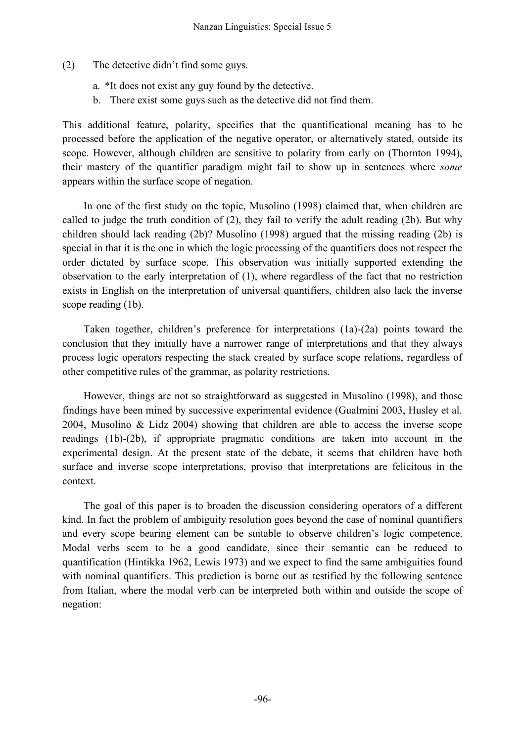- (2) The detective didn't find some guys.
	- a. \*It does not exist any guy found by the detective.
	- b. There exist some guys such as the detective did not find them.

This additional feature, polarity, specifies that the quantificational meaning has to be processed before the application of the negative operator, or alternatively stated, outside its scope. However, although children are sensitive to polarity from early on (Thornton 1994), their mastery of the quantifier paradigm might fail to show up in sentences where *some* appears within the surface scope of negation.

In one of the first study on the topic, Musolino (1998) claimed that, when children are called to judge the truth condition of (2), they fail to verify the adult reading (2b). But why children should lack reading (2b)? Musolino (1998) argued that the missing reading (2b) is special in that it is the one in which the logic processing of the quantifiers does not respect the order dictated by surface scope. This observation was initially supported extending the observation to the early interpretation of (1), where regardless of the fact that no restriction exists in English on the interpretation of universal quantifiers, children also lack the inverse scope reading  $(1b)$ .

Taken together, children's preference for interpretations (1a)-(2a) points toward the conclusion that they initially have a narrower range of interpretations and that they always process logic operators respecting the stack created by surface scope relations, regardless of other competitive rules of the grammar, as polarity restrictions.

However, things are not so straightforward as suggested in Musolino (1998), and those findings have been mined by successive experimental evidence (Gualmini 2003, Husley et al. 2004, Musolino & Lidz 2004) showing that children are able to access the inverse scope readings (1b)-(2b), if appropriate pragmatic conditions are taken into account in the experimental design. At the present state of the debate, it seems that children have both surface and inverse scope interpretations, proviso that interpretations are felicitous in the context.

The goal of this paper is to broaden the discussion considering operators of a different kind. In fact the problem of ambiguity resolution goes beyond the case of nominal quantifiers and every scope bearing element can be suitable to observe children's logic competence. Modal verbs seem to be a good candidate, since their semantic can be reduced to quantification (Hintikka 1962, Lewis 1973) and we expect to find the same ambiguities found with nominal quantifiers. This prediction is borne out as testified by the following sentence from Italian, where the modal verb can be interpreted both within and outside the scope of negation: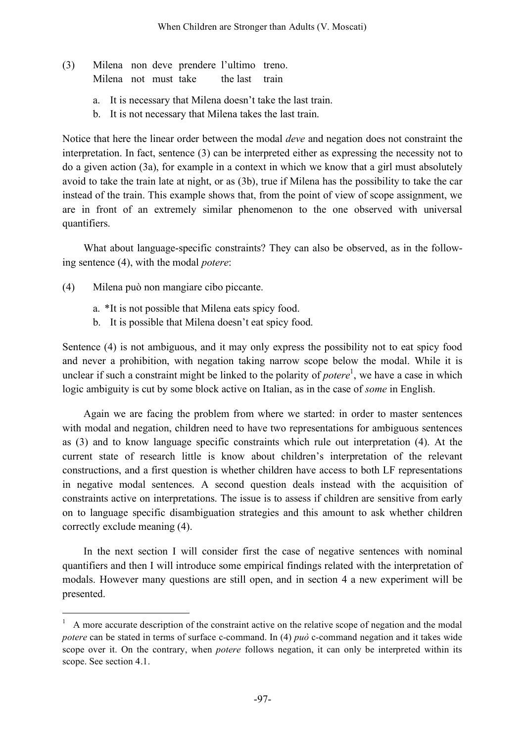- (3) Milena non deve prendere l'ultimo treno. Milena not must take the last train
	- a. It is necessary that Milena doesn't take the last train.
	- b. It is not necessary that Milena takes the last train.

Notice that here the linear order between the modal *deve* and negation does not constraint the interpretation. In fact, sentence (3) can be interpreted either as expressing the necessity not to do a given action (3a), for example in a context in which we know that a girl must absolutely avoid to take the train late at night, or as (3b), true if Milena has the possibility to take the car instead of the train. This example shows that, from the point of view of scope assignment, we are in front of an extremely similar phenomenon to the one observed with universal quantifiers.

What about language-specific constraints? They can also be observed, as in the following sentence (4), with the modal *potere*:

- (4) Milena può non mangiare cibo piccante.
	- a. \*It is not possible that Milena eats spicy food.
	- b. It is possible that Milena doesn't eat spicy food.

Sentence (4) is not ambiguous, and it may only express the possibility not to eat spicy food and never a prohibition, with negation taking narrow scope below the modal. While it is unclear if such a constraint might be linked to the polarity of *potere*<sup>1</sup>, we have a case in which logic ambiguity is cut by some block active on Italian, as in the case of *some* in English.

Again we are facing the problem from where we started: in order to master sentences with modal and negation, children need to have two representations for ambiguous sentences as (3) and to know language specific constraints which rule out interpretation (4). At the current state of research little is know about children's interpretation of the relevant constructions, and a first question is whether children have access to both LF representations in negative modal sentences. A second question deals instead with the acquisition of constraints active on interpretations. The issue is to assess if children are sensitive from early on to language specific disambiguation strategies and this amount to ask whether children correctly exclude meaning (4).

In the next section I will consider first the case of negative sentences with nominal quantifiers and then I will introduce some empirical findings related with the interpretation of modals. However many questions are still open, and in section 4 a new experiment will be presented.

 <sup>1</sup> <sup>A</sup> more accurate description of the constraint active on the relative scope of negation and the modal *potere* can be stated in terms of surface c-command. In (4) *può* c-command negation and it takes wide scope over it. On the contrary, when *potere* follows negation, it can only be interpreted within its scope. See section 4.1.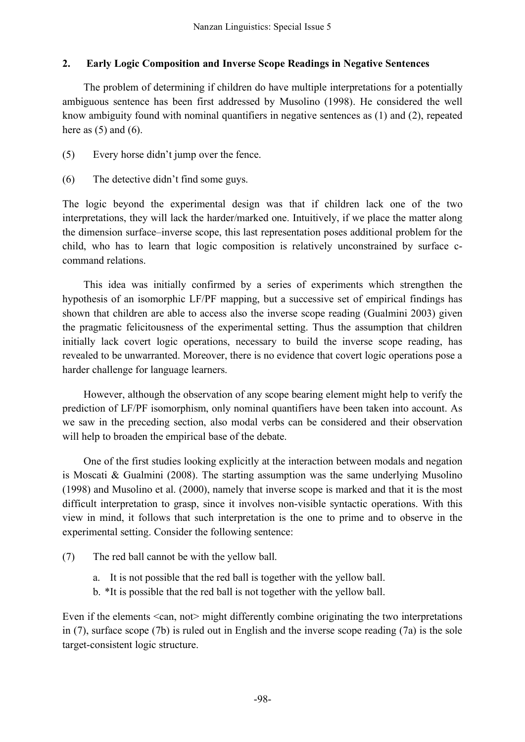## **2. Early Logic Composition and Inverse Scope Readings in Negative Sentences**

The problem of determining if children do have multiple interpretations for a potentially ambiguous sentence has been first addressed by Musolino (1998). He considered the well know ambiguity found with nominal quantifiers in negative sentences as (1) and (2), repeated here as  $(5)$  and  $(6)$ .

- (5) Every horse didn't jump over the fence.
- (6) The detective didn't find some guys.

The logic beyond the experimental design was that if children lack one of the two interpretations, they will lack the harder/marked one. Intuitively, if we place the matter along the dimension surface–inverse scope, this last representation poses additional problem for the child, who has to learn that logic composition is relatively unconstrained by surface ccommand relations.

This idea was initially confirmed by a series of experiments which strengthen the hypothesis of an isomorphic LF/PF mapping, but a successive set of empirical findings has shown that children are able to access also the inverse scope reading (Gualmini 2003) given the pragmatic felicitousness of the experimental setting. Thus the assumption that children initially lack covert logic operations, necessary to build the inverse scope reading, has revealed to be unwarranted. Moreover, there is no evidence that covert logic operations pose a harder challenge for language learners.

However, although the observation of any scope bearing element might help to verify the prediction of LF/PF isomorphism, only nominal quantifiers have been taken into account. As we saw in the preceding section, also modal verbs can be considered and their observation will help to broaden the empirical base of the debate.

One of the first studies looking explicitly at the interaction between modals and negation is Moscati & Gualmini (2008). The starting assumption was the same underlying Musolino (1998) and Musolino et al. (2000), namely that inverse scope is marked and that it is the most difficult interpretation to grasp, since it involves non-visible syntactic operations. With this view in mind, it follows that such interpretation is the one to prime and to observe in the experimental setting. Consider the following sentence:

- (7) The red ball cannot be with the yellow ball.
	- a. It is not possible that the red ball is together with the yellow ball.
	- b. \*It is possible that the red ball is not together with the yellow ball.

Even if the elements  $\le$ can, not $\ge$  might differently combine originating the two interpretations in (7), surface scope (7b) is ruled out in English and the inverse scope reading (7a) is the sole target-consistent logic structure.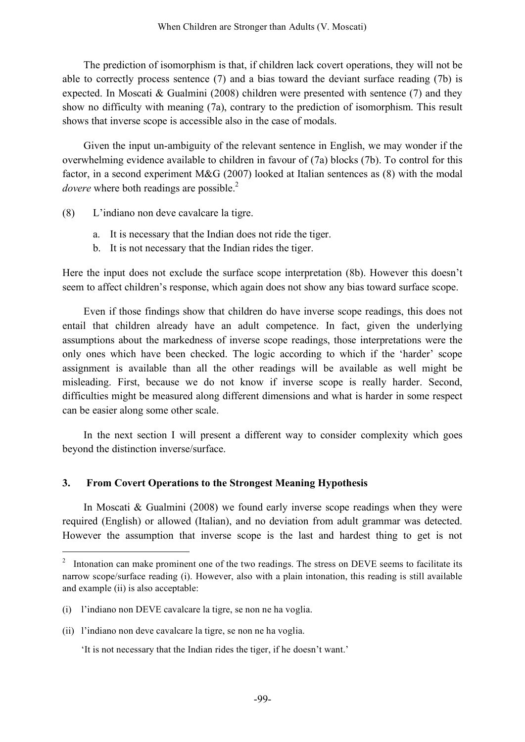The prediction of isomorphism is that, if children lack covert operations, they will not be able to correctly process sentence (7) and a bias toward the deviant surface reading (7b) is expected. In Moscati & Gualmini (2008) children were presented with sentence (7) and they show no difficulty with meaning (7a), contrary to the prediction of isomorphism. This result shows that inverse scope is accessible also in the case of modals.

Given the input un-ambiguity of the relevant sentence in English, we may wonder if the overwhelming evidence available to children in favour of (7a) blocks (7b). To control for this factor, in a second experiment M&G (2007) looked at Italian sentences as (8) with the modal dovere where both readings are possible.<sup>2</sup>

- (8) L'indiano non deve cavalcare la tigre.
	- a. It is necessary that the Indian does not ride the tiger.
	- b. It is not necessary that the Indian rides the tiger.

Here the input does not exclude the surface scope interpretation (8b). However this doesn't seem to affect children's response, which again does not show any bias toward surface scope.

Even if those findings show that children do have inverse scope readings, this does not entail that children already have an adult competence. In fact, given the underlying assumptions about the markedness of inverse scope readings, those interpretations were the only ones which have been checked. The logic according to which if the 'harder' scope assignment is available than all the other readings will be available as well might be misleading. First, because we do not know if inverse scope is really harder. Second, difficulties might be measured along different dimensions and what is harder in some respect can be easier along some other scale.

In the next section I will present a different way to consider complexity which goes beyond the distinction inverse/surface.

### **3. From Covert Operations to the Strongest Meaning Hypothesis**

In Moscati & Gualmini (2008) we found early inverse scope readings when they were required (English) or allowed (Italian), and no deviation from adult grammar was detected. However the assumption that inverse scope is the last and hardest thing to get is not

<sup>&</sup>lt;sup>2</sup> Intonation can make prominent one of the two readings. The stress on DEVE seems to facilitate its narrow scope/surface reading (i). However, also with a plain intonation, this reading is still available and example (ii) is also acceptable:

<sup>(</sup>i) l'indiano non DEVE cavalcare la tigre, se non ne ha voglia.

<sup>(</sup>ii) l'indiano non deve cavalcare la tigre, se non ne ha voglia.

<sup>&#</sup>x27;It is not necessary that the Indian rides the tiger, if he doesn't want.'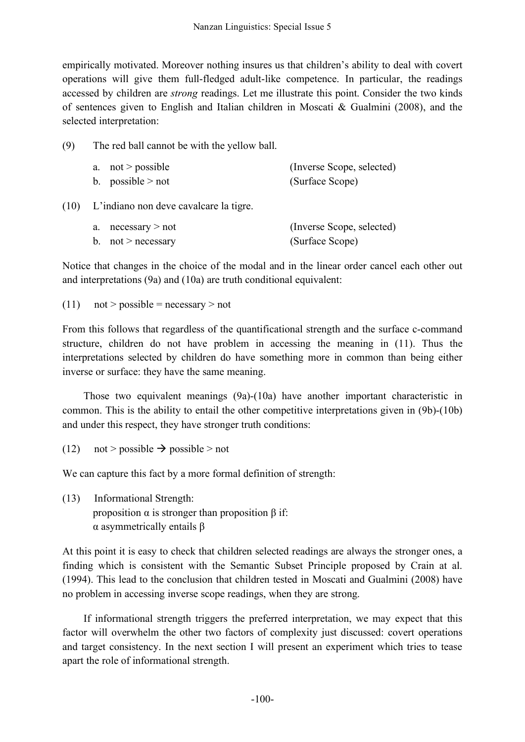empirically motivated. Moreover nothing insures us that children's ability to deal with covert operations will give them full-fledged adult-like competence. In particular, the readings accessed by children are *strong* readings. Let me illustrate this point. Consider the two kinds of sentences given to English and Italian children in Moscati & Gualmini (2008), and the selected interpretation:

(9) The red ball cannot be with the yellow ball.

| a. $not > possible$ | (Inverse Scope, selected) |
|---------------------|---------------------------|
| b. possible $>$ not | (Surface Scope)           |

(10) L'indiano non deve cavalcare la tigre.

| a. necessary $>$ not | (Inverse Scope, selected) |
|----------------------|---------------------------|
| b. not > necessary   | (Surface Scope)           |

Notice that changes in the choice of the modal and in the linear order cancel each other out and interpretations (9a) and (10a) are truth conditional equivalent:

(11)  $not > possible = necessary > not$ 

From this follows that regardless of the quantificational strength and the surface c-command structure, children do not have problem in accessing the meaning in (11). Thus the interpretations selected by children do have something more in common than being either inverse or surface: they have the same meaning.

Those two equivalent meanings (9a)-(10a) have another important characteristic in common. This is the ability to entail the other competitive interpretations given in (9b)-(10b) and under this respect, they have stronger truth conditions:

(12) not > possible  $\rightarrow$  possible > not

We can capture this fact by a more formal definition of strength:

(13) Informational Strength: proposition α is stronger than proposition β if: α asymmetrically entails β

At this point it is easy to check that children selected readings are always the stronger ones, a finding which is consistent with the Semantic Subset Principle proposed by Crain at al. (1994). This lead to the conclusion that children tested in Moscati and Gualmini (2008) have no problem in accessing inverse scope readings, when they are strong.

If informational strength triggers the preferred interpretation, we may expect that this factor will overwhelm the other two factors of complexity just discussed: covert operations and target consistency. In the next section I will present an experiment which tries to tease apart the role of informational strength.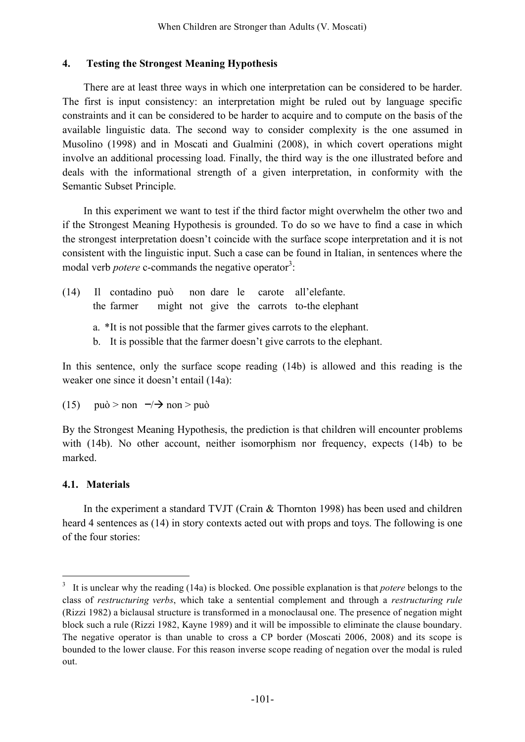#### **4. Testing the Strongest Meaning Hypothesis**

There are at least three ways in which one interpretation can be considered to be harder. The first is input consistency: an interpretation might be ruled out by language specific constraints and it can be considered to be harder to acquire and to compute on the basis of the available linguistic data. The second way to consider complexity is the one assumed in Musolino (1998) and in Moscati and Gualmini (2008), in which covert operations might involve an additional processing load. Finally, the third way is the one illustrated before and deals with the informational strength of a given interpretation, in conformity with the Semantic Subset Principle.

In this experiment we want to test if the third factor might overwhelm the other two and if the Strongest Meaning Hypothesis is grounded. To do so we have to find a case in which the strongest interpretation doesn't coincide with the surface scope interpretation and it is not consistent with the linguistic input. Such a case can be found in Italian, in sentences where the modal verb *potere* c-commands the negative operator<sup>3</sup>:

- (14) Il contadino può non dare le carote all'elefante. the farmer might not give the carrots to-the elephant
	- a. \*It is not possible that the farmer gives carrots to the elephant.
	- b. It is possible that the farmer doesn't give carrots to the elephant.

In this sentence, only the surface scope reading (14b) is allowed and this reading is the weaker one since it doesn't entail (14a):

(15) 
$$
\text{pu} \dot{\text{o}} > \text{non} \quad \neg \rightarrow \text{non} > \text{pu} \dot{\text{o}}
$$

By the Strongest Meaning Hypothesis, the prediction is that children will encounter problems with (14b). No other account, neither isomorphism nor frequency, expects (14b) to be marked.

### **4.1. Materials**

In the experiment a standard TVJT (Crain & Thornton 1998) has been used and children heard 4 sentences as (14) in story contexts acted out with props and toys. The following is one of the four stories:

 <sup>3</sup> It is unclear why the reading (14a) is blocked. One possible explanation is that *potere* belongs to the class of *restructuring verbs*, which take a sentential complement and through a *restructuring rule* (Rizzi 1982) a biclausal structure is transformed in a monoclausal one. The presence of negation might block such a rule (Rizzi 1982, Kayne 1989) and it will be impossible to eliminate the clause boundary. The negative operator is than unable to cross a CP border (Moscati 2006, 2008) and its scope is bounded to the lower clause. For this reason inverse scope reading of negation over the modal is ruled out.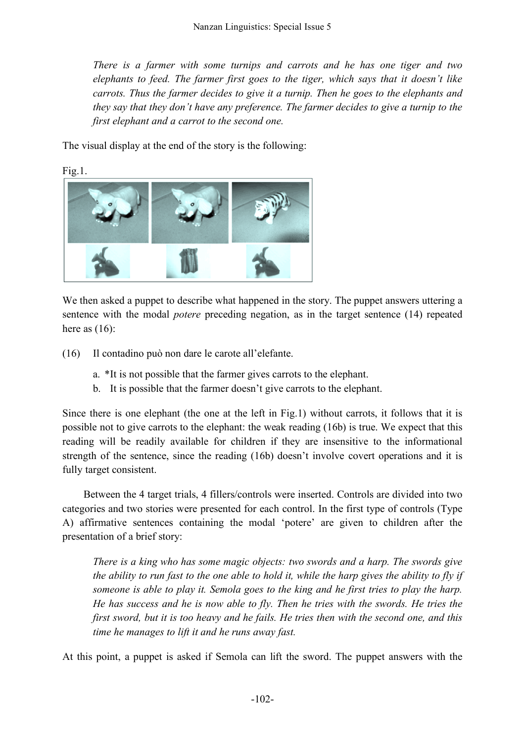*There is a farmer with some turnips and carrots and he has one tiger and two elephants to feed. The farmer first goes to the tiger, which says that it doesn't like carrots. Thus the farmer decides to give it a turnip. Then he goes to the elephants and they say that they don't have any preference. The farmer decides to give a turnip to the first elephant and a carrot to the second one.*

The visual display at the end of the story is the following:



Fig.1.

We then asked a puppet to describe what happened in the story. The puppet answers uttering a sentence with the modal *potere* preceding negation, as in the target sentence (14) repeated here as  $(16)$ :

(16) Il contadino può non dare le carote all'elefante.

- a. \*It is not possible that the farmer gives carrots to the elephant.
- b. It is possible that the farmer doesn't give carrots to the elephant.

Since there is one elephant (the one at the left in Fig.1) without carrots, it follows that it is possible not to give carrots to the elephant: the weak reading (16b) is true. We expect that this reading will be readily available for children if they are insensitive to the informational strength of the sentence, since the reading (16b) doesn't involve covert operations and it is fully target consistent.

Between the 4 target trials, 4 fillers/controls were inserted. Controls are divided into two categories and two stories were presented for each control. In the first type of controls (Type A) affirmative sentences containing the modal 'potere' are given to children after the presentation of a brief story:

*There is a king who has some magic objects: two swords and a harp. The swords give the ability to run fast to the one able to hold it, while the harp gives the ability to fly if someone is able to play it. Semola goes to the king and he first tries to play the harp. He has success and he is now able to fly. Then he tries with the swords. He tries the first sword, but it is too heavy and he fails. He tries then with the second one, and this time he manages to lift it and he runs away fast.*

At this point, a puppet is asked if Semola can lift the sword. The puppet answers with the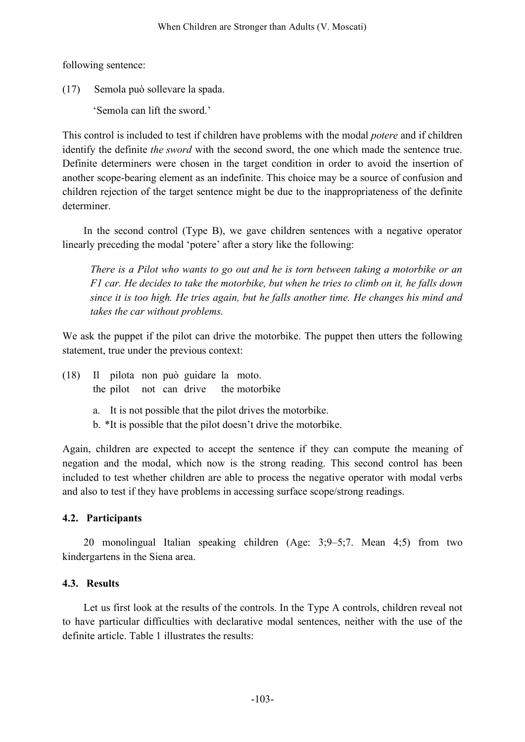following sentence:

(17) Semola può sollevare la spada.

'Semola can lift the sword.'

This control is included to test if children have problems with the modal *potere* and if children identify the definite *the sword* with the second sword, the one which made the sentence true. Definite determiners were chosen in the target condition in order to avoid the insertion of another scope-bearing element as an indefinite. This choice may be a source of confusion and children rejection of the target sentence might be due to the inappropriateness of the definite determiner.

In the second control (Type B), we gave children sentences with a negative operator linearly preceding the modal 'potere' after a story like the following:

*There is a Pilot who wants to go out and he is torn between taking a motorbike or an F1 car. He decides to take the motorbike, but when he tries to climb on it, he falls down since it is too high. He tries again, but he falls another time. He changes his mind and takes the car without problems.*

We ask the puppet if the pilot can drive the motorbike. The puppet then utters the following statement, true under the previous context:

- (18) Il pilota non può guidare la moto. the pilot not can drive the motorbike
	- a. It is not possible that the pilot drives the motorbike.
	- b. \*It is possible that the pilot doesn't drive the motorbike.

Again, children are expected to accept the sentence if they can compute the meaning of negation and the modal, which now is the strong reading. This second control has been included to test whether children are able to process the negative operator with modal verbs and also to test if they have problems in accessing surface scope/strong readings.

## **4.2. Participants**

20 monolingual Italian speaking children (Age: 3;9–5;7. Mean 4;5) from two kindergartens in the Siena area.

## **4.3. Results**

Let us first look at the results of the controls. In the Type A controls, children reveal not to have particular difficulties with declarative modal sentences, neither with the use of the definite article. Table 1 illustrates the results: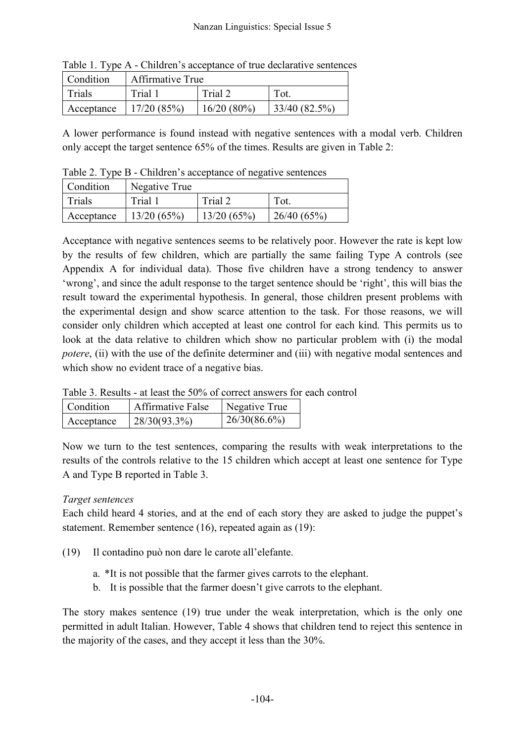| Table 1. Type IX Christen 3 acceptance of the decidiative sentence |           |                  |            |              |  |
|--------------------------------------------------------------------|-----------|------------------|------------|--------------|--|
|                                                                    | Condition | Affirmative True |            |              |  |
| Trials                                                             |           | Trial 1          | Trial 2    | Tot.         |  |
| Acceptance   $17/20(85%)$                                          |           |                  | 16/20(80%) | 33/40(82.5%) |  |

Table 1. Type A - Children's acceptance of true declarative sentences

A lower performance is found instead with negative sentences with a modal verb. Children only accept the target sentence 65% of the times. Results are given in Table 2:

Table 2. Type B - Children's acceptance of negative sentences

| Condition  | Negative True |            |            |
|------------|---------------|------------|------------|
| Trials     | Trial 1       | Trial 2    | Tot.       |
| Acceptance | 13/20(65%)    | 13/20(65%) | 26/40(65%) |

Acceptance with negative sentences seems to be relatively poor. However the rate is kept low by the results of few children, which are partially the same failing Type A controls (see Appendix A for individual data). Those five children have a strong tendency to answer 'wrong', and since the adult response to the target sentence should be 'right', this will bias the result toward the experimental hypothesis. In general, those children present problems with the experimental design and show scarce attention to the task. For those reasons, we will consider only children which accepted at least one control for each kind. This permits us to look at the data relative to children which show no particular problem with (i) the modal *potere*, (ii) with the use of the definite determiner and (iii) with negative modal sentences and which show no evident trace of a negative bias.

Table 3. Results - at least the 50% of correct answers for each control

| Condition  | <b>Affirmative False</b> | Negative True |
|------------|--------------------------|---------------|
| Acceptance | $28/30(93.3\%)$          | 26/30(86.6%)  |

Now we turn to the test sentences, comparing the results with weak interpretations to the results of the controls relative to the 15 children which accept at least one sentence for Type A and Type B reported in Table 3.

# *Target sentences*

Each child heard 4 stories, and at the end of each story they are asked to judge the puppet's statement. Remember sentence (16), repeated again as (19):

- (19) Il contadino può non dare le carote all'elefante.
	- a. \*It is not possible that the farmer gives carrots to the elephant.
	- b. It is possible that the farmer doesn't give carrots to the elephant.

The story makes sentence (19) true under the weak interpretation, which is the only one permitted in adult Italian. However, Table 4 shows that children tend to reject this sentence in the majority of the cases, and they accept it less than the 30%.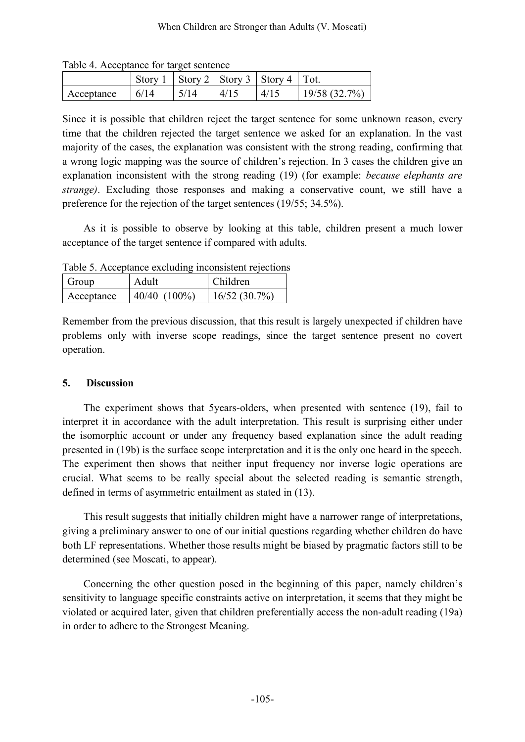| Table 1. <i>Procedually</i> for the set sentence |      |      |      |                                              |                 |
|--------------------------------------------------|------|------|------|----------------------------------------------|-----------------|
|                                                  |      |      |      | Story 1   Story 2   Story 3   Story 4   Tot. |                 |
| Acceptance                                       | 6/14 | 5/14 | 4/15 | 4/15                                         | $19/58$ (32.7%) |

Table 4. Acceptance for target sentence

Since it is possible that children reject the target sentence for some unknown reason, every time that the children rejected the target sentence we asked for an explanation. In the vast majority of the cases, the explanation was consistent with the strong reading, confirming that a wrong logic mapping was the source of children's rejection. In 3 cases the children give an explanation inconsistent with the strong reading (19) (for example: *because elephants are strange)*. Excluding those responses and making a conservative count, we still have a preference for the rejection of the target sentences (19/55; 34.5%).

As it is possible to observe by looking at this table, children present a much lower acceptance of the target sentence if compared with adults.

Table 5. Acceptance excluding inconsistent rejections

| Group      | Adult             | Children     |  |
|------------|-------------------|--------------|--|
| Acceptance | $40/40$ $(100\%)$ | 16/52(30.7%) |  |

Remember from the previous discussion, that this result is largely unexpected if children have problems only with inverse scope readings, since the target sentence present no covert operation.

## **5. Discussion**

The experiment shows that 5years-olders, when presented with sentence (19), fail to interpret it in accordance with the adult interpretation. This result is surprising either under the isomorphic account or under any frequency based explanation since the adult reading presented in (19b) is the surface scope interpretation and it is the only one heard in the speech. The experiment then shows that neither input frequency nor inverse logic operations are crucial. What seems to be really special about the selected reading is semantic strength, defined in terms of asymmetric entailment as stated in (13).

This result suggests that initially children might have a narrower range of interpretations, giving a preliminary answer to one of our initial questions regarding whether children do have both LF representations. Whether those results might be biased by pragmatic factors still to be determined (see Moscati, to appear).

Concerning the other question posed in the beginning of this paper, namely children's sensitivity to language specific constraints active on interpretation, it seems that they might be violated or acquired later, given that children preferentially access the non-adult reading (19a) in order to adhere to the Strongest Meaning.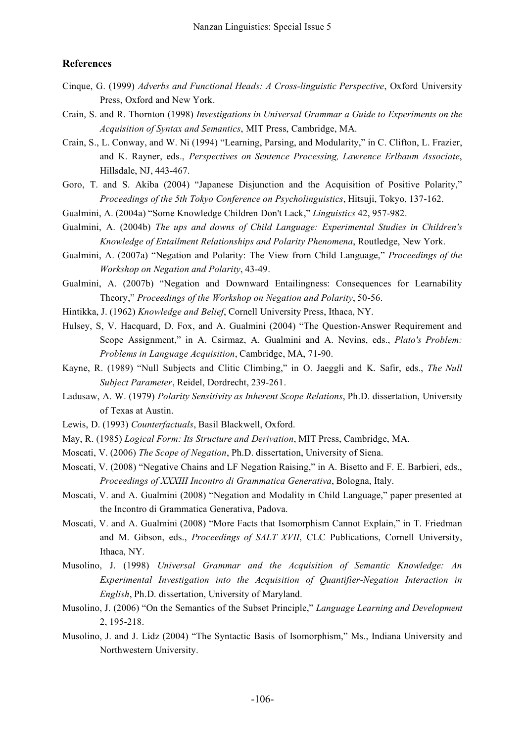#### **References**

- Cinque, G. (1999) *Adverbs and Functional Heads: A Cross-linguistic Perspective*, Oxford University Press, Oxford and New York.
- Crain, S. and R. Thornton (1998) *Investigations in Universal Grammar a Guide to Experiments on the Acquisition of Syntax and Semantics*, MIT Press, Cambridge, MA.
- Crain, S., L. Conway, and W. Ni (1994) "Learning, Parsing, and Modularity," in C. Clifton, L. Frazier, and K. Rayner, eds., *Perspectives on Sentence Processing, Lawrence Erlbaum Associate*, Hillsdale, NJ, 443-467.
- Goro, T. and S. Akiba (2004) "Japanese Disjunction and the Acquisition of Positive Polarity," *Proceedings of the 5th Tokyo Conference on Psycholinguistics*, Hitsuji, Tokyo, 137-162.
- Gualmini, A. (2004a) "Some Knowledge Children Don't Lack," *Linguistics* 42, 957-982.
- Gualmini, A. (2004b) *The ups and downs of Child Language: Experimental Studies in Children's Knowledge of Entailment Relationships and Polarity Phenomena*, Routledge, New York.
- Gualmini, A. (2007a) "Negation and Polarity: The View from Child Language," *Proceedings of the Workshop on Negation and Polarity*, 43-49.
- Gualmini, A. (2007b) "Negation and Downward Entailingness: Consequences for Learnability Theory," *Proceedings of the Workshop on Negation and Polarity*, 50-56.
- Hintikka, J. (1962) *Knowledge and Belief*, Cornell University Press, Ithaca, NY.
- Hulsey, S, V. Hacquard, D. Fox, and A. Gualmini (2004) "The Question-Answer Requirement and Scope Assignment," in A. Csirmaz, A. Gualmini and A. Nevins, eds., *Plato's Problem: Problems in Language Acquisition*, Cambridge, MA, 71-90.
- Kayne, R. (1989) "Null Subjects and Clitic Climbing," in O. Jaeggli and K. Safir, eds., *The Null Subject Parameter*, Reidel, Dordrecht, 239-261.
- Ladusaw, A. W. (1979) *Polarity Sensitivity as Inherent Scope Relations*, Ph.D. dissertation, University of Texas at Austin.
- Lewis, D. (1993) *Counterfactuals*, Basil Blackwell, Oxford.
- May, R. (1985) *Logical Form: Its Structure and Derivation*, MIT Press, Cambridge, MA.
- Moscati, V. (2006) *The Scope of Negation*, Ph.D. dissertation, University of Siena.
- Moscati, V. (2008) "Negative Chains and LF Negation Raising," in A. Bisetto and F. E. Barbieri, eds., *Proceedings of XXXIII Incontro di Grammatica Generativa*, Bologna, Italy.
- Moscati, V. and A. Gualmini (2008) "Negation and Modality in Child Language," paper presented at the Incontro di Grammatica Generativa, Padova.
- Moscati, V. and A. Gualmini (2008) "More Facts that Isomorphism Cannot Explain," in T. Friedman and M. Gibson, eds., *Proceedings of SALT XVII*, CLC Publications, Cornell University, Ithaca, NY.
- Musolino, J. (1998) *Universal Grammar and the Acquisition of Semantic Knowledge: An Experimental Investigation into the Acquisition of Quantifier-Negation Interaction in English*, Ph.D. dissertation, University of Maryland.
- Musolino, J. (2006) "On the Semantics of the Subset Principle," *Language Learning and Development* 2, 195-218.
- Musolino, J. and J. Lidz (2004) "The Syntactic Basis of Isomorphism," Ms., Indiana University and Northwestern University.